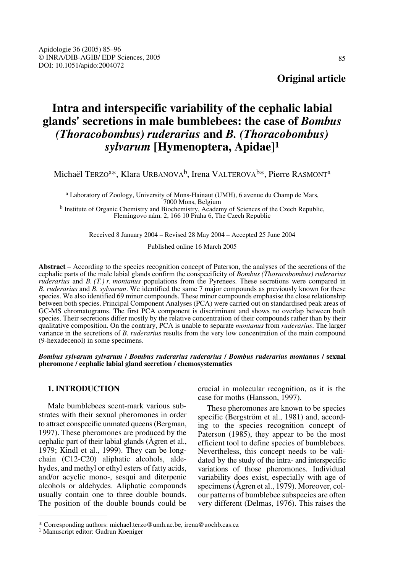## **Original article**

# **Intra and interspecific variability of the cephalic labial glands' secretions in male bumblebees: the case of** *Bombus (Thoracobombus) ruderarius* **and** *B. (Thoracobombus) sylvarum* **[Hymenoptera, Apidae]1**

Michaël TERZO<sup>a\*</sup>, Klara URBANOVA<sup>b</sup>, Irena VALTEROVA<sup>b\*</sup>, Pierre RASMONT<sup>a</sup>

a Laboratory of Zoology, University of Mons-Hainaut (UMH), 6 avenue du Champ de Mars,

<sup>b</sup> Institute of Organic Chemistry and Biochemistry, Academy of Sciences of the Czech Republic, Flemingovo nám. 2, 166 10 Praha 6, The Czech Republic

Received 8 January 2004 – Revised 28 May 2004 – Accepted 25 June 2004

Published online 16 March 2005

**Abstract** – According to the species recognition concept of Paterson, the analyses of the secretions of the cephalic parts of the male labial glands confirm the conspecificity of *Bombus (Thoracobombus) ruderarius ruderarius* and *B. (T.) r. montanus* populations from the Pyrenees. These secretions were compared in *B. ruderarius* and *B. sylvarum*. We identified the same 7 major compounds as previously known for these species. We also identified 69 minor compounds. These minor compounds emphasise the close relationship between both species. Principal Component Analyses (PCA) were carried out on standardised peak areas of GC-MS chromatograms. The first PCA component is discriminant and shows no overlap between both species. Their secretions differ mostly by the relative concentration of their compounds rather than by their qualitative composition. On the contrary, PCA is unable to separate *montanus* from *ruderarius*. The larger variance in the secretions of *B. ruderarius* results from the very low concentration of the main compound (9-hexadecenol) in some specimens.

*Bombus sylvarum sylvarum* **/** *Bombus ruderarius ruderarius* **/** *Bombus ruderarius montanus* **/ sexual pheromone / cephalic labial gland secretion / chemosystematics**

## **1. INTRODUCTION**

Male bumblebees scent-mark various substrates with their sexual pheromones in order to attract conspecific unmated queens (Bergman, 1997). These pheromones are produced by the cephalic part of their labial glands (Ågren et al., 1979; Kindl et al., 1999). They can be longchain (C12-C20) aliphatic alcohols, aldehydes, and methyl or ethyl esters of fatty acids, and/or acyclic mono-, sesqui and diterpenic alcohols or aldehydes. Aliphatic compounds usually contain one to three double bounds. The position of the double bounds could be

crucial in molecular recognition, as it is the case for moths (Hansson, 1997).

These pheromones are known to be species specific (Bergström et al., 1981) and, according to the species recognition concept of Paterson (1985), they appear to be the most efficient tool to define species of bumblebees. Nevertheless, this concept needs to be validated by the study of the intra- and interspecific variations of those pheromones. Individual variability does exist, especially with age of specimens (Ågren et al., 1979). Moreover, colour patterns of bumblebee subspecies are often very different (Delmas, 1976). This raises the

<sup>\*</sup> Corresponding authors: michael.terzo@umh.ac.be, irena@uochb.cas.cz

<sup>1</sup> Manuscript editor: Gudrun Koeniger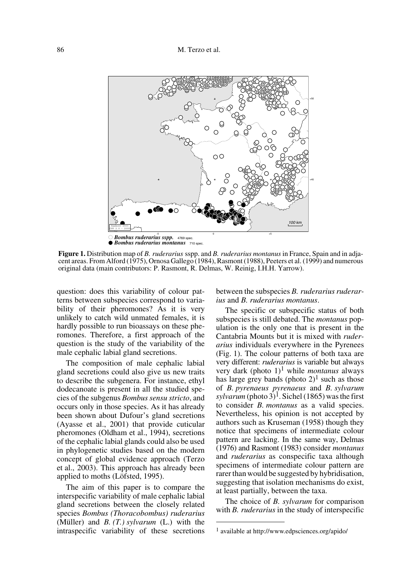

**Figure 1.** Distribution map of *B. ruderarius* sspp. and *B. ruderarius montanus* in France, Spain and in adjacent areas. From Alford (1975), Ornosa Gallego (1984), Rasmont (1988), Peeters et al. (1999) and numerous original data (main contributors: P. Rasmont, R. Delmas, W. Reinig, I.H.H. Yarrow).

question: does this variability of colour patterns between subspecies correspond to variability of their pheromones? As it is very unlikely to catch wild unmated females, it is hardly possible to run bioassays on these pheromones. Therefore, a first approach of the question is the study of the variability of the male cephalic labial gland secretions.

The composition of male cephalic labial gland secretions could also give us new traits to describe the subgenera. For instance, ethyl dodecanoate is present in all the studied species of the subgenus *Bombus sensu stricto*, and occurs only in those species. As it has already been shown about Dufour's gland secretions (Ayasse et al., 2001) that provide cuticular pheromones (Oldham et al., 1994), secretions of the cephalic labial glands could also be used in phylogenetic studies based on the modern concept of global evidence approach (Terzo et al., 2003). This approach has already been applied to moths (Löfsted, 1995).

The aim of this paper is to compare the interspecific variability of male cephalic labial gland secretions between the closely related species *Bombus (Thoracobombus) ruderarius* (Müller) and *B. (T.) sylvarum* (L.) with the intraspecific variability of these secretions between the subspecies *B. ruderarius ruderarius* and *B. ruderarius montanus*.

The specific or subspecific status of both subspecies is still debated. The *montanus* population is the only one that is present in the Cantabria Mounts but it is mixed with *ruderarius* individuals everywhere in the Pyrenees (Fig. 1). The colour patterns of both taxa are very different: *ruderarius* is variable but always very dark (photo 1)1 while *montanus* always has large grey bands (photo  $2)^1$  such as those of *B. pyrenaeus pyrenaeus* and *B. sylvarum*  $sylvarum$  (photo 3)<sup>1</sup>. Sichel (1865) was the first to consider *B. montanus* as a valid species. Nevertheless, his opinion is not accepted by authors such as Kruseman (1958) though they notice that specimens of intermediate colour pattern are lacking. In the same way, Delmas (1976) and Rasmont (1983) consider *montanus* and *ruderarius* as conspecific taxa although specimens of intermediate colour pattern are rarer than would be suggested by hybridisation, suggesting that isolation mechanisms do exist, at least partially, between the taxa.

The choice of *B. sylvarum* for comparison with *B. ruderarius* in the study of interspecific

<sup>1</sup> available at http://www.edpsciences.org/apido/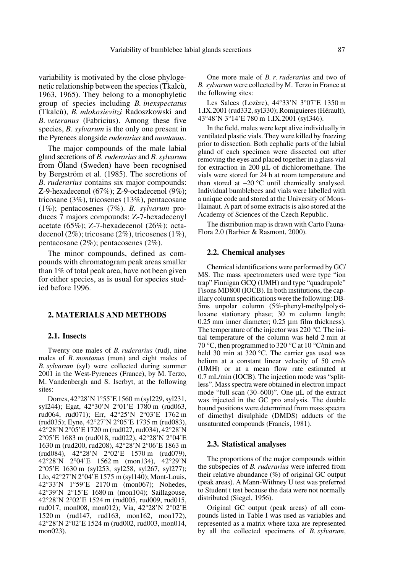variability is motivated by the close phylogenetic relationship between the species (Tkalcù, 1963, 1965). They belong to a monophyletic group of species including *B. inexspectatus* (Tkalcù), *B. mlokosievitzi* Radoszkowski and *B. veteranus* (Fabricius). Among these five species, *B. sylvarum* is the only one present in the Pyrenees alongside *ruderarius* and *montanus*.

The major compounds of the male labial gland secretions of *B. ruderarius* and *B. sylvarum* from Öland (Sweden) have been recognised by Bergström et al. (1985). The secretions of *B. ruderarius* contains six major compounds: Z-9-hexadecenol (67%); Z-9-octadecenol (9%); tricosane (3%), tricosenes (13%), pentacosane (1%); pentacosenes (7%). *B. sylvarum* produces 7 majors compounds: Z-7-hexadecenyl acetate (65%); Z-7-hexadecenol (26%); octadecenol (2%); tricosane (2%), tricosenes (1%), pentacosane (2%); pentacosenes (2%).

The minor compounds, defined as compounds with chromatogram peak areas smaller than 1% of total peak area, have not been given for either species, as is usual for species studied before 1996.

#### **2. MATERIALS AND METHODS**

#### **2.1. Insects**

Twenty one males of *B. ruderarius* (rud), nine males of *B. montanus* (mon) and eight males of *B. sylvarum* (syl) were collected during summer 2001 in the West-Pyrenees (France), by M. Terzo, M. Vandenbergh and S. Iserbyt, at the following sites:

Dorres, 42°28'N 1°55'E 1560 m (syl229, syl231, syl244); Egat, 42°30'N 2°01'E 1780 m (rud063, rud064, rud071); Err, 42°25'N 2°03'E 1762 m (rud035); Eyne, 42°27'N 2°05'E 1735 m (rud083), 42°28'N 2°05'E 1720 m (rud027, rud034), 42°28'N 2°05'E 1683 m (rud018, rud022), 42°28'N 2°04'E 1630 m (rud200, rud208), 42°28'N 2°06'E 1863 m (rud084), 42°28'N 2°02'E 1570 m (rud079), 42°28'N 2°04'E 1562 m (mon134), 42°29'N 2°05'E 1630 m (syl253, syl258, syl267, syl277); Llo, 42°27'N 2°04'E 1575 m (syl140); Mont-Louis, 42°33'N 1°59'E 2170 m (mon067); Nohedes, 42°39'N 2°15'E 1680 m (mon104); Saillagouse, 42°28'N 2°02'E 1524 m (rud005, rud009, rud015, rud017, mon008, mon012); Via, 42°28'N 2°02'E 1520 m (rud147, rud163, mon162, mon172), 42°28'N 2°02'E 1524 m (rud002, rud003, mon014, mon023).

One more male of *B. r. ruderarius* and two of *B. sylvarum* were collected by M. Terzo in France at the following sites:

Les Salces (Lozère), 44°33'N 3°07'E 1350 m 1.IX.2001 (rud332, syl330); Romiguieres (Hérault), 43°48'N 3°14'E 780 m 1.IX.2001 (syl346).

In the field, males were kept alive individually in ventilated plastic vials. They were killed by freezing prior to dissection. Both cephalic parts of the labial gland of each specimen were dissected out after removing the eyes and placed together in a glass vial for extraction in 200 µL of dichloromethane. The vials were stored for 24 h at room temperature and than stored at  $-20$  °C until chemically analysed. Individual bumblebees and vials were labelled with a unique code and stored at the University of Mons-Hainaut. A part of some extracts is also stored at the Academy of Sciences of the Czech Republic.

The distribution map is drawn with Carto Fauna-Flora 2.0 (Barbier & Rasmont, 2000).

#### **2.2. Chemical analyses**

Chemical identifications were performed by GC/ MS. The mass spectrometers used were type "ion trap" Finnigan GCQ (UMH) and type "quadrupole" Fisons MD800 (IOCB). In both institutions, the capillary column specifications were the following: DB-5ms unpolar column (5%-phenyl-methylpolysiloxane stationary phase; 30 m column length; 0.25 mm inner diameter; 0.25 µm film thickness). The temperature of the injector was 220 °C. The initial temperature of the column was held 2 min at 70 °C, then programmed to 320 °C at 10 °C/min and held 30 min at 320 °C. The carrier gas used was helium at a constant linear velocity of 50 cm/s (UMH) or at a mean flow rate estimated at 0.7 mL/min (IOCB). The injection mode was "splitless". Mass spectra were obtained in electron impact mode "full scan (30–600)". One µL of the extract was injected in the GC pro analysis. The double bound positions were determined from mass spectra of dimethyl disulphide (DMDS) adducts of the unsaturated compounds (Francis, 1981).

#### **2.3. Statistical analyses**

The proportions of the major compounds within the subspecies of *B. ruderarius* were inferred from their relative abundance  $(\%)$  of original GC output (peak areas). A Mann-Withney U test was preferred to Student t test because the data were not normally distributed (Siegel, 1956).

Original GC output (peak areas) of all compounds listed in Table I was used as variables and represented as a matrix where taxa are represented by all the collected specimens of *B. sylvarum*,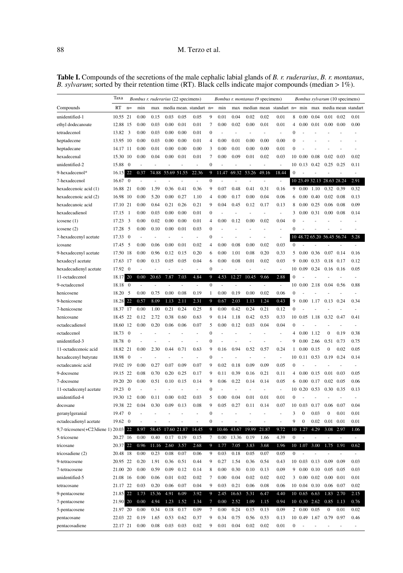**Table I.** Compounds of the secretions of the male cephalic labial glands of *B. r. ruderarius*, *B. r. montanus*, *B. sylvarum*; sorted by their retention time (RT). Black cells indicate major compounds (median > 1%).

|                                            | Taxa           |                       | Bombus r. ruderarius (22 specimens) |                |             |           |                |                   |                |                | Bombus r. montanus (9 specimens) |                |                |                  |                   |              |                            |              | Bombus sylvarum (10 specimens) |
|--------------------------------------------|----------------|-----------------------|-------------------------------------|----------------|-------------|-----------|----------------|-------------------|----------------|----------------|----------------------------------|----------------|----------------|------------------|-------------------|--------------|----------------------------|--------------|--------------------------------|
| Compounds                                  | RT             | $n=$                  | min                                 | max            | media mean. |           | standart       | $n=$              | min            | max            | median mean                      |                | standart       | $n=$             | min               | max          |                            |              | media mean standart            |
| unidentified-1                             | 10.55          | 21                    | 0.00                                | 0.15           | 0.03        | 0.05      | 0.05           | 9                 | 0.01           | 0.04           | 0.02                             | 0.02           | 0.01           | 8                | 0.00              | 0.04         | 0.01                       | 0.02         | 0.01                           |
| ethyl dodecanoate                          | 12.88          | 15                    | 0.00                                | 0.03           | 0.00        | 0.01      | 0.01           | 7                 | 0.00           | 0.02           | 0.00                             | 0.01           | 0.01           | 4                | 0.00              | 0.01         | 0.00                       | 0.00         | 0.00                           |
| tetradecenol                               | 13.82          | 3                     | 0.00                                | 0.03           | 0.00        | 0.00      | 0.01           | $\mathbf{0}$      | ä,             |                | J.                               | ÷,             | J.             | 0                |                   |              |                            |              |                                |
| heptadecene                                | 13.95 10       |                       | 0.00                                | 0.03           | 0.00        | 0.00      | 0.01           | 4                 | 0.00           | 0.01           | 0.00                             | 0.00           | 0.00           | $\overline{0}$   |                   |              |                            |              | ÷                              |
| heptadecane                                | 14.17          | 11                    | 0.00                                | 0.01           | 0.00        | 0.00      | 0.00           | 3                 | 0.00           | 0.01           | 0.00                             | $_{0.00}$      | 0.01           | 0                |                   |              |                            |              |                                |
| hexadecenal                                | 15.30          | 10                    | 0.00                                | 0.04           | 0.00        | 0.01      | 0.01           | $\overline{7}$    | 0.00           | 0.09           | 0.01                             | 0.02           | 0.03           | 10               | 0.00              | 0.08         | 0.02                       | 0.03         | 0.02                           |
| unidentified-2                             | 15.88          | $\overline{0}$        | Ē,                                  |                |             |           | ä,             | $\bf{0}$          |                |                |                                  |                | ÷,             | 10               | 0.13              | 0.42         | 0.25                       | 0.25         | 0.11                           |
| 9-hexadecenol*                             | 16.15          | 22                    | 0.37                                | 74.88          | 55.69 51.55 |           | 22.36          | 9                 | 11.47          | 69.32          | 53.26                            | 49.16          | 18.44          | 0                |                   |              |                            |              |                                |
| 7-hexadecenol                              | 16.67          | $\bf{0}$              |                                     |                |             |           |                | $\mathbf{0}$      |                |                |                                  |                |                |                  |                   |              | 10 23.49 32.13 28.63 28.24 |              | 2.91                           |
| hexadecenoic acid (1)                      | 16.88 21       |                       | 0.00                                | 1.59           | 0.36        | 0.41      | 0.36           | 9                 | 0.07           | 0.48           | 0.41                             | 0.31           | 0.16           | 9                | 0.00              | 1.10         | 0.32                       | 0.39         | 0.32                           |
| hexadecenoic acid (2)                      | 16.98          | 10                    | 0.00                                | 5.20           | 0.00        | 0.27      | 1.10           | 4                 | 0.00           | 0.17           | 0.00                             | 0.04           | 0.06           | 6                | 0.00              | 0.40         | 0.02                       | 0.08         | 0.13                           |
| hexadecanoic acid                          | 17.10          | 21                    | 0.00                                | 0.64           | 0.21        | 0.26      | 0.21           | 9                 | 0.04           | 0.45           | 0.12                             | 0.17           | 0.13           | 8                | 0.00              | 0.25         | 0.06                       | 0.08         | 0.09                           |
| hexadecadienol                             | 17.15          | - 1                   | 0.00                                | 0.03           | 0.00        | 0.00      | 0.01           | $\mathbf{0}$      |                |                |                                  | ÷,             | ÷,             | 3                | 0.00              | 0.31         | 0.00                       | 0.08         | 0.14                           |
| icosene $(1)$                              | 17.23          | 3                     | 0.00                                | 0.02           | 0.00        | 0.00      | 0.01           | 4                 | 0.00           | 0.12           | 0.00                             | 0.02           | 0.04           | 0                |                   |              |                            |              |                                |
| icosene (2)                                | 17.28          | 5                     | 0.00                                | 0.10           | 0.00        | 0.01      | 0.03           | $\overline{0}$    |                |                |                                  | L,             | ÷              | 0                |                   |              |                            |              | ÷                              |
| 7-hexadecenyl acetate                      | 17.33          | $\boldsymbol{0}$      | ÷,                                  | ä,             |             | ä,        | ÷,             | $\mathbf{0}$      | ä,             |                |                                  | ÷,             | Î.             |                  |                   |              | 10 48.72 65.20 56.45 56.74 |              | 5.28                           |
| icosane                                    | 17.45          | 5                     | 0.00                                | 0.06           | 0.00        | 0.01      | 0.02           | 4                 | 0.00           | 0.08           | 0.00                             | 0.02           | 0.03           | 0                |                   |              |                            |              |                                |
|                                            | 17.50          | 18                    | 0.00                                | 0.96           | 0.12        | 0.15      | 0.20           | 6                 | 0.00           | 1.01           | 0.08                             | $_{0.20}$      | 0.33           | 5                | 0.00              | 0.36         | 0.07                       | 0.14         | 0.16                           |
| 9-hexadecenyl acetate<br>hexadecyl acetate |                |                       |                                     |                | 0.05        | 0.05      | 0.04           |                   |                | 0.08           | 0.01                             | 0.02           | 0.03           | 9                | 0.00              |              |                            |              |                                |
|                                            | 17.63<br>17.92 | -17<br>$\overline{0}$ | 0.00                                | 0.13           |             |           |                | 6<br>$\mathbf{0}$ | 0.00           |                |                                  |                |                | 10               | 0.09              | 0.33<br>0.24 | 0.18<br>0.16               | 0.17<br>0.16 | 0.12<br>0.05                   |
| hexadecadienyl acetate                     |                |                       |                                     | 20.63          |             |           | 4.84           | 9                 | 4.53           | 12.27          |                                  |                | 2.88           |                  |                   |              |                            |              |                                |
| 11-octadecenol                             | 18.17          | 20                    | 0.00                                | $\overline{a}$ | 7.87        | 7.03      |                |                   |                | $\overline{a}$ | 10.45                            | 9.66           |                | 0                |                   |              |                            |              |                                |
| 9-octadecenol                              | 18.18          | $\overline{0}$        | $\overline{a}$                      |                | L,          | L.        | $\overline{a}$ | $\boldsymbol{0}$  | $\overline{a}$ |                | L,                               | $\overline{a}$ | $\overline{a}$ | 10               | 0.00              | 2.18         | 0.04                       | 0.56         | 0.88                           |
| henicosene                                 | 18.20          | 5                     | 0.00                                | 0.75           | 0.00        | 0.08      | 0.19           | 1                 | 0.00           | 0.19           | 0.00                             | 0.02           | 0.06           | 0                |                   |              |                            |              |                                |
| 9-henicosene                               | 18.28          | 22                    | 0.57                                | 8.09           | 1.13        | 2.11      | 2.31           | 9                 | 0.67           | 2.03           | 1.13                             | 1.24           | 0.43           | 9                | 0.00              | 1.17         | 0.13                       | 0.24         | 0.34                           |
| 7-henicosene                               | 18.37 17       |                       | 0.00                                | 1.00           | 0.21        | 0.24      | 0.25           | 8                 | 0.00           | 0.42           | 0.24                             | 0.21           | 0.12           | $\overline{0}$   |                   |              |                            |              |                                |
| henicosane                                 | 18.45          | 22                    | 0.12                                | 2.72           | 0.38        | 0.60      | 0.63           | 9                 | 0.14           | 1.18           | 0.42                             | 0.53           | 0.33           | 10               | 0.05              | 1.18         | 0.32                       | 0.47         | 0.41                           |
| octadecadienol                             | 18.60          | 12                    | 0.00                                | 0.20           | 0.06        | 0.06      | 0.07           | 5                 | 0.00           | 0.12           | 0.03                             | 0.04           | 0.04           | $\overline{0}$   |                   |              |                            |              |                                |
| octadecenol                                | 18.73          | $\overline{0}$        | ä,                                  |                |             |           | ÷,             | $\mathbf{0}$      |                |                |                                  | L,             | ÷,             | 4                | 0.00              | 1.12         | $\boldsymbol{0}$           | 0.19         | 0.38                           |
| unidentified-3                             | 18.78          | $\bf{0}$              |                                     |                |             |           |                | 0                 |                |                |                                  |                | ÷,             | 9                | 0.00              | 2.66         | 0.51                       | 0.73         | 0.75                           |
| 11-octadecenoic acid                       | 18.82          | 21                    | 0.00                                | 2.30           | 0.44        | 0.71      | 0.63           | 9                 | 0.16           | 0.94           | 0.52                             | 0.57           | 0.24           | 1                | 0.00              | 0.15         | 0                          | 0.02         | 0.05                           |
| hexadecenyl butyrate                       | 18.98          | $\mathbf{0}$          |                                     |                |             |           | ÷,             | $\mathbf{0}$      |                |                |                                  | ÷,             | ÷,             | 10               | 0.11              | 0.53         | 0.19                       | 0.24         | 0.14                           |
| octadecanoic acid                          | 19.02          | 19                    | 0.00                                | 0.27           | 0.07        | 0.09      | 0.07           | 9                 | 0.02           | 0.18           | 0.09                             | 0.09           | 0.05           | 0                |                   |              |                            |              |                                |
| 9-docosene                                 | 19.15          | 22                    | 0.08                                | 0.70           | 0.20        | 0.25      | 0.17           | 9                 | 0.11           | 0.39           | 0.16                             | 0.21           | 0.11           | 4                | 0.00              | 0.15         | 0.01                       | 0.03         | 0.05                           |
| 7-docosene                                 | 19.20 20       |                       | 0.00                                | 0.51           | 0.10        | 0.15      | 0.14           | 9                 | 0.06           | 0.22           | 0.14                             | 0.14           | 0.05           | 6                | 0.00              | 0.17         | 0.02                       | 0.05         | 0.06                           |
| 11-octadecenyl acetate                     | 19.23          | $\boldsymbol{0}$      |                                     |                |             |           |                | 0                 |                |                |                                  |                |                | 10               | 0.20              | 0.53         | 0.30                       | 0.35         | 0.13                           |
| unidentified-4                             | 19.30          | 12                    | 0.00                                | 0.11           | 0.00        | 0.02      | 0.03           | 5                 | 0.00           | 0.04           | 0.01                             | 0.01           | 0.01           | 0                |                   |              |                            |              |                                |
| docosane                                   | 19.38 22       |                       | 0.04                                | 0.30           | 0.09        | 0.13      | 0.08           | 9                 | 0.05           | 0.27           | 0.11                             | 0.14           | 0.07           | 10               | 0.03              | 0.17         | 0.06                       | 0.07         | 0.04                           |
| geranylgeranial                            | 19.47          | $\theta$              |                                     |                |             |           |                | $\mathbf{0}$      |                |                |                                  |                |                | 3                | $\bf{0}$          | 0.03         | $\boldsymbol{0}$           | 0.01         | 0.01                           |
| octadecadienyl acetate                     | 19.62          | $\bf{0}$              | $\overline{a}$                      |                |             |           | L,             | $\mathbf{0}$      |                |                |                                  |                | J.             | 9                | $\overline{0}$    | 0.02         | 0.01                       | 0.01         | 0.01                           |
| 9,7-tricosenes(+C23diene 1) 20.03          |                | 22                    | 8.97                                | 58.45          | 17.60 21.87 |           | 14.45          | 9                 | 10.46 43.67    |                | 19.99                            | 21.87          | 9.72           | 10               | 1.27              | 4.29         | 3.08                       | 2.97         | 1.06                           |
| 5-tricosene                                | 20.27          | 16                    | 0.00                                | 0.40           | 0.17        | 0.19      | 0.15           | 7                 | 0.00           | 13.36          | 0.19                             | 1.66           | 4.39           | $\overline{0}$   |                   |              |                            |              |                                |
| tricosane                                  | 20.37          | 22                    | 0.96                                | 11.16          | 2.60        | 3.57      | 2.68           | 9                 | 1.77           | 7.05           | 3.83                             | 3.68           | 1.96           | 10               | 1.07              | 3.00         | 1.75                       | 1.91         | 0.62                           |
| tricosadiene (2)                           | 20.48 18       |                       | 0.00                                | 0.23           | 0.08        | 0.07      | 0.06           | 9                 | 0.03           | 0.18           | 0.05                             | 0.07           | 0.05           | 0                |                   |              |                            |              |                                |
| 9-tetracosene                              | 20.95 22       |                       | 0.20                                | 1.91           | 0.36        | 0.51      | 0.44           | 9                 | 0.27           | 1.54           | 0.36                             | 0.54           | 0.43           | 10               | $0.03$ 0.13       |              | 0.09                       | 0.09         | 0.03                           |
| 7-tetracosene                              | 21.00 20       |                       | 0.00                                | 0.59           | 0.09        | 0.12      | 0.14           | 8                 | 0.00           | 0.30           | 0.10                             | 0.13           | 0.09           | 9                | $0.00 \quad 0.10$ |              |                            | $0.05$ 0.05  | 0.03                           |
| unidentified-5                             | 21.08 16       |                       | 0.00                                | 0.06           | 0.01        | 0.02      | 0.02           | 7                 | 0.00           | 0.04           | 0.02                             | 0.02           | 0.02           | 3                | $0.00 \quad 0.02$ |              | $0.00 \quad 0.01$          |              | 0.01                           |
| tetracosane                                | 21.17 22       |                       | 0.03                                | 0.20           | 0.06        | 0.07      | 0.04           | 9                 | 0.03           | 0.21           | 0.06                             | 0.08           | 0.06           |                  | 10 0.04 0.10      |              |                            | $0.06$ 0.07  | 0.02                           |
| 9-pentacosene                              | 21.85 22       |                       | 1.73                                | 15.36          | 4.91        | 6.09      | 3.92           | 9                 | 2.45           | 16.63          | 5.31                             | 6.47           | 4.40           |                  | 10 0.65 6.63      |              |                            | 1.83 2.70    | 2.15                           |
| 7-pentacosene                              | 21.90 20       |                       | 0.00                                | 4.94           |             | 1.23 1.52 | 1.34           | $\overline{7}$    | 0.00           | 2.52           | 1.09                             | 1.15           | 0.94           |                  | 10 0.30 2.62      |              |                            | 0.85 1.13    | 0.76                           |
| 5-pentacosene                              | 21.97 20       |                       | 0.00                                | 0.34           | 0.18        | 0.17      | 0.09           | 7                 | 0.00           | 0.24           | 0.15                             | 0.13           | 0.09           | 2                | 0.00              | 0.05         | $\boldsymbol{0}$           | 0.01         | 0.02                           |
| pentacosane                                | 22.03 22       |                       | 0.19                                | 1.65           | 0.53        | 0.62      | 0.37           | 9                 | 0.34           | 0.75           | 0.56                             | 0.53           | 0.13           | 10               | 0.49              | 1.67         | 0.79                       | 0.97         | 0.46                           |
| pentacosadiene                             | 22.17 21       |                       | 0.00                                | 0.08           | $0.03$ 0.03 |           | 0.02           | 9                 | 0.01           | 0.04           | 0.02                             | 0.02           | 0.01           | $\boldsymbol{0}$ | $\overline{a}$    | ÷,           | ÷,                         | ÷,           | $\overline{\phantom{a}}$       |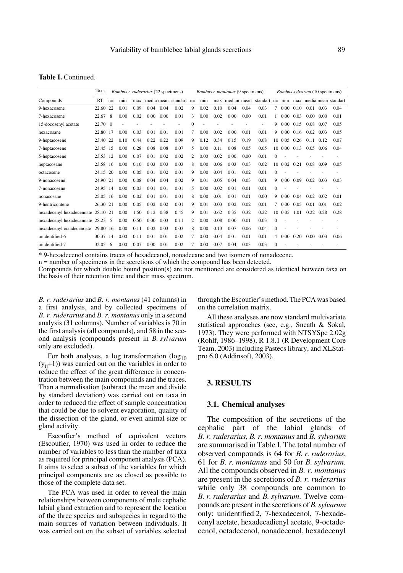|                                    | Taxa     |          | Bombus r. ruderarius (22 specimens) |      |      |      |                           |          |      |      | Bombus r. montanus (9 specimens) |      |                                            |              |                   |      | Bombus sylvarum (10 specimens) |      |      |
|------------------------------------|----------|----------|-------------------------------------|------|------|------|---------------------------|----------|------|------|----------------------------------|------|--------------------------------------------|--------------|-------------------|------|--------------------------------|------|------|
| Compounds                          | RT       | $n =$    | min                                 | max  |      |      | media mean. standart $n=$ |          | min  |      | max median mean                  |      | standart $n = min$ max media mean standart |              |                   |      |                                |      |      |
| 9-hexacosene                       | 22.60    | 22       | 0.01                                | 0.09 | 0.04 | 0.04 | 0.02                      | 9        | 0.02 | 0.10 | 0.04                             | 0.04 | 0.03                                       | 7            | 0.00              | 0.10 | 0.01                           | 0.03 | 0.04 |
| 7-hexacosene                       | 22.67    | 8        | 0.00                                | 0.02 | 0.00 | 0.00 | 0.01                      | 3        | 0.00 | 0.02 | 0.00                             | 0.00 | 0.01                                       | $\mathbf{1}$ | $0.00 \quad 0.03$ |      | 0.00                           | 0.00 | 0.01 |
| 15-docosenyl acetate               | 22.70    | $\Omega$ |                                     |      |      |      |                           | $\Omega$ |      |      |                                  |      |                                            | 9            | 0.00              | 0.15 | 0.08                           | 0.07 | 0.05 |
| hexacosane                         | 22.80    | 17       | 0.00                                | 0.03 | 0.01 | 0.01 | 0.01                      | 7        | 0.00 | 0.02 | 0.00                             | 0.01 | 0.01                                       | 9            | 0.00              | 0.16 | 0.02                           | 0.03 | 0.05 |
| 9-heptacosene                      | 23.40 22 |          | 0.10                                | 0.44 | 0.22 | 0.22 | 0.09                      | 9        | 0.12 | 0.34 | 0.15                             | 0.19 | 0.08                                       |              | 10 0.05           | 0.26 | 0.11                           | 0.12 | 0.07 |
| 7-heptacosene                      | 23.45    | 15       | 0.00                                | 0.28 | 0.08 | 0.08 | 0.07                      | 5        | 0.00 | 0.11 | 0.08                             | 0.05 | 0.05                                       | 10           | 0.00              | 0.13 | 0.05                           | 0.06 | 0.04 |
| 5-heptacosene                      | 23.53    | 12       | 0.00                                | 0.07 | 0.01 | 0.02 | 0.02                      | 2        | 0.00 | 0.02 | 0.00                             | 0.00 | 0.01                                       | $\Omega$     |                   |      |                                |      |      |
| heptacosane                        | 23.58    | -16      | 0.00                                | 0.10 | 0.03 | 0.03 | 0.03                      | 8        | 0.00 | 0.06 | 0.03                             | 0.03 | 0.02                                       | 10           | 0.02              | 0.21 | 0.08                           | 0.09 | 0.05 |
| octacosene                         | 24.15    | 20       | 0.00                                | 0.05 | 0.01 | 0.02 | 0.01                      | 9        | 0.00 | 0.04 | 0.01                             | 0.02 | 0.01                                       | $\Omega$     |                   |      |                                |      |      |
| 9-nonacosene                       | 24.90 21 |          | 0.00                                | 0.08 | 0.04 | 0.04 | 0.02                      | 9        | 0.01 | 0.05 | 0.04                             | 0.03 | 0.01                                       | 9            | 0.00              | 0.09 | 0.02                           | 0.03 | 0.03 |
| 7-nonacosene                       | 24.95    | 14       | 0.00                                | 0.03 | 0.01 | 0.01 | 0.01                      | 5        | 0.00 | 0.02 | 0.01                             | 0.01 | 0.01                                       | $\Omega$     |                   |      |                                |      |      |
| nonacosane                         | 25.05 16 |          | 0.00                                | 0.02 | 0.01 | 0.01 | 0.01                      | 8        | 0.00 | 0.01 | 0.01                             | 0.01 | 0.00                                       | 9            | 0.00              | 0.04 | 0.02                           | 0.02 | 0.01 |
| 9-hentricontene                    | 26.30 21 |          | 0.00                                | 0.05 | 0.02 | 0.02 | 0.01                      | 9        | 0.01 | 0.03 | 0.02                             | 0.02 | 0.01                                       | 7            | 0.00              | 0.05 | 0.01                           | 0.01 | 0.02 |
| hexadecenvl hexadecenoate 28.10 21 |          |          | 0.00                                | 1.50 | 0.12 | 0.38 | 0.45                      | 9        | 0.01 | 0.62 | 0.35                             | 0.32 | 0.22                                       | 10           | 0.05              | 1.01 | 0.22                           | 0.28 | 0.28 |
| hexadecenyl hexadecanoate 28.23 5  |          |          | 0.00                                | 0.50 | 0.00 | 0.03 | 0.11                      | 2        | 0.00 | 0.08 | 0.00                             | 0.01 | 0.03                                       | $\Omega$     |                   |      |                                |      |      |
| hexadecenvl octadecenoate          | 29.80 16 |          | 0.00                                | 0.11 | 0.02 | 0.03 | 0.03                      | 8        | 0.00 | 0.13 | 0.07                             | 0.06 | 0.04                                       | $\Omega$     |                   |      |                                |      |      |
| unidentified-6                     | 30.37    | 14       | 0.00                                | 0.11 | 0.01 | 0.01 | 0.02                      | 7        | 0.00 | 0.04 | 0.01                             | 0.01 | 0.01                                       | 4            | 0.00              | 0.20 | 0.00                           | 0.03 | 0.06 |
| unidentified-7                     | 32.05    | 6        | 0.00                                | 0.07 | 0.00 | 0.01 | 0.02                      |          | 0.00 | 0.07 | 0.04                             | 0.03 | 0.03                                       | $\Omega$     |                   |      |                                |      |      |

\* 9-hexadecenol contains traces of hexadecanol, nonadecane and two isomers of nonadecene.

n = number of specimens in the secretions of which the compound has been detected.

Compounds for which double bound position(s) are not mentioned are considered as identical between taxa on the basis of their retention time and their mass spectrum.

*B. r. ruderarius* and *B. r. montanus* (41 columns) in a first analysis, and by collected specimens of *B. r. ruderarius* and *B. r. montanus* only in a second analysis (31 columns). Number of variables is 70 in the first analysis (all compounds), and 58 in the second analysis (compounds present in *B. sylvarum* only are excluded).

For both analyses, a log transformation  $(\log_{10}$  $(y_{ii}+1)$ ) was carried out on the variables in order to reduce the effect of the great difference in concentration between the main compounds and the traces. Than a normalisation (subtract the mean and divide by standard deviation) was carried out on taxa in order to reduced the effect of sample concentration that could be due to solvent evaporation, quality of the dissection of the gland, or even animal size or gland activity.

Escoufier's method of equivalent vectors (Escoufier, 1970) was used in order to reduce the number of variables to less than the number of taxa as required for principal component analysis (PCA). It aims to select a subset of the variables for which principal components are as closed as possible to those of the complete data set.

The PCA was used in order to reveal the main relationships between components of male cephalic labial gland extraction and to represent the location of the three species and subspecies in regard to the main sources of variation between individuals. It was carried out on the subset of variables selected through the Escoufier's method. The PCA was based on the correlation matrix.

All these analyses are now standard multivariate statistical approaches (see, e.g., Sneath & Sokal, 1973). They were performed with NTSYSpc 2.02g (Rohlf, 1986–1998), R 1.8.1 (R Development Core Team, 2003) including Pastecs library, and XLStatpro 6.0 (Addinsoft, 2003).

#### **3. RESULTS**

#### **3.1. Chemical analyses**

The composition of the secretions of the cephalic part of the labial glands of *B. r. ruderarius*, *B. r. montanus* and *B. sylvarum* are summarised in Table I. The total number of observed compounds is 64 for *B. r. ruderarius*, 61 for *B. r. montanus* and 50 for *B. sylvarum*. All the compounds observed in *B. r. montanus* are present in the secretions of *B. r. ruderarius* while only 38 compounds are common to *B. r. ruderarius* and *B. sylvarum*. Twelve compounds are present in the secretions of *B. sylvarum* only: unidentified 2, 7-hexadecenol, 7-hexadecenyl acetate, hexadecadienyl acetate, 9-octadecenol, octadecenol, nonadecenol, hexadecenyl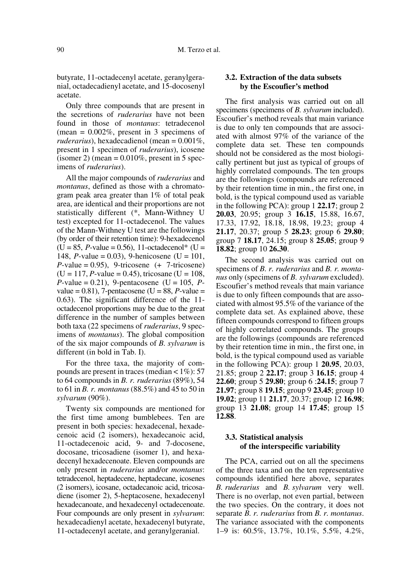butyrate, 11-octadecenyl acetate, geranylgeranial, octadecadienyl acetate, and 15-docosenyl acetate.

Only three compounds that are present in the secretions of *ruderarius* have not been found in those of *montanus*: tetradecenol (mean =  $0.002\%$ , present in 3 specimens of *ruderarius*), hexadecadienol (mean = 0.001%, present in 1 specimen of *ruderarius*), icosene (isomer 2) (mean  $= 0.010\%$ , present in 5 specimens of *ruderarius*).

All the major compounds of *ruderarius* and *montanus*, defined as those with a chromatogram peak area greater than 1% of total peak area, are identical and their proportions are not statistically different (\*, Mann-Withney U test) excepted for 11-octadecenol. The values of the Mann-Withney U test are the followings (by order of their retention time): 9-hexadecenol  $(U = 85, P-value = 0.56), 11-octadecenol* (U =$ 148, *P*-value = 0.03), 9-henicosene (U = 101,  $P$ -value = 0.95), 9-tricosene  $(+ 7$ -tricosene)  $(U = 117, P-value = 0.45)$ , tricosane  $(U = 108,$ *P*-value = 0.21), 9-pentacosene (U = 105, *P*value =  $0.81$ ), 7-pentacosene (U = 88, *P*-value = 0.63). The significant difference of the 11 octadecenol proportions may be due to the great difference in the number of samples between both taxa (22 specimens of *ruderarius*, 9 specimens of *montanus*). The global composition of the six major compounds of *B. sylvarum* is different (in bold in Tab. I).

For the three taxa, the majority of compounds are present in traces (median < 1%): 57 to 64 compounds in *B. r. ruderarius* (89%), 54 to 61 in *B. r. montanus* (88.5%) and 45 to 50 in *sylvarum* (90%).

Twenty six compounds are mentioned for the first time among bumblebees. Ten are present in both species: hexadecenal, hexadecenoic acid (2 isomers), hexadecanoic acid, 11-octadecenoic acid, 9- and 7-docosene, docosane, tricosadiene (isomer 1), and hexadecenyl hexadecenoate. Eleven compounds are only present in *ruderarius* and/or *montanus*: tetradecenol, heptadecene, heptadecane, icosenes (2 isomers), icosane, octadecanoic acid, tricosadiene (isomer 2), 5-heptacosene, hexadecenyl hexadecanoate, and hexadecenyl octadecenoate. Four compounds are only present in *sylvarum*: hexadecadienyl acetate, hexadecenyl butyrate, 11-octadecenyl acetate, and geranylgeranial.

## **3.2. Extraction of the data subsets by the Escoufier's method**

The first analysis was carried out on all specimens (specimens of *B. sylvarum* included). Escoufier's method reveals that main variance is due to only ten compounds that are associated with almost 97% of the variance of the complete data set. These ten compounds should not be considered as the most biologically pertinent but just as typical of groups of highly correlated compounds. The ten groups are the followings (compounds are referenced by their retention time in min., the first one, in bold, is the typical compound used as variable in the following PCA): group 1 **22.17**; group 2 **20.03**, 20.95; group 3 **16.15**, 15.88, 16.67, 17.33, 17.92, 18.18, 18.98, 19.23; group 4 **21.17**, 20.37; group 5 **28.23**; group 6 **29.80**; group 7 **18.17**, 24.15; group 8 **25.05**; group 9 **18.82**; group 10 **26.30**.

The second analysis was carried out on specimens of *B. r. ruderarius* and *B. r. montanus* only (specimens of *B. sylvarum* excluded). Escoufier's method reveals that main variance is due to only fifteen compounds that are associated with almost 95.5% of the variance of the complete data set. As explained above, these fifteen compounds correspond to fifteen groups of highly correlated compounds. The groups are the followings (compounds are referenced by their retention time in min., the first one, in bold, is the typical compound used as variable in the following PCA): group 1 **20.95**, 20.03, 21.85; group 2 **22.17**; group 3 **16.15**; group 4 **22.60**; group 5 **29.80**; group 6 :**24.15**; group 7 **21.97**; group 8 **19.15**; group 9 **23.45**; group 10 **19.02**; group 11 **21.17**, 20.37; group 12 **16.98**; group 13 **21.08**; group 14 **17.45**; group 15 **12.88**.

## **3.3. Statistical analysis of the interspecific variability**

The PCA, carried out on all the specimens of the three taxa and on the ten representative compounds identified here above, separates *B. ruderarius* and *B. sylvarum* very well. There is no overlap, not even partial, between the two species. On the contrary, it does not separate *B. r. ruderarius* from *B. r. montanus*. The variance associated with the components 1–9 is: 60.5%, 13.7%, 10.1%, 5.5%, 4.2%,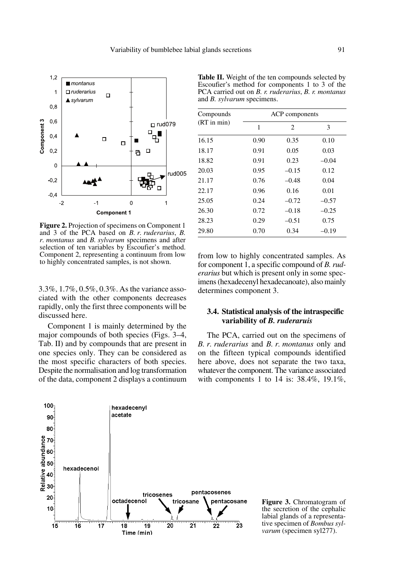

**Figure 2.** Projection of specimens on Component 1 and 3 of the PCA based on *B. r. ruderarius*, *B. r. montanus* and *B. sylvarum* specimens and after selection of ten variables by Escoufier's method. Component 2, representing a continuum from low to highly concentrated samples, is not shown.

3.3%, 1.7%, 0.5%, 0.3%. As the variance associated with the other components decreases rapidly, only the first three components will be discussed here.

Component 1 is mainly determined by the major compounds of both species (Figs. 3–4, Tab. II) and by compounds that are present in one species only. They can be considered as the most specific characters of both species. Despite the normalisation and log transformation of the data, component 2 displays a continuum

| Compounds   | ACP components |                |         |  |  |  |  |  |  |
|-------------|----------------|----------------|---------|--|--|--|--|--|--|
| (RT in min) | 1              | $\mathfrak{D}$ | 3       |  |  |  |  |  |  |
| 16.15       | 0.90           | 0.35           | 0.10    |  |  |  |  |  |  |
| 18.17       | 0.91           | 0.05           | 0.03    |  |  |  |  |  |  |
| 18.82       | 0.91           | 0.23           | $-0.04$ |  |  |  |  |  |  |
| 20.03       | 0.95           | $-0.15$        | 0.12    |  |  |  |  |  |  |
| 21.17       | 0.76           | $-0.48$        | 0.04    |  |  |  |  |  |  |
| 22.17       | 0.96           | 0.16           | 0.01    |  |  |  |  |  |  |
| 25.05       | 0.24           | $-0.72$        | $-0.57$ |  |  |  |  |  |  |
| 26.30       | 0.72           | $-0.18$        | $-0.25$ |  |  |  |  |  |  |
| 28.23       | 0.29           | $-0.51$        | 0.75    |  |  |  |  |  |  |
| 29.80       | 0.70           | 0.34           | $-0.19$ |  |  |  |  |  |  |

**Table II.** Weight of the ten compounds selected by Escoufier's method for components 1 to 3 of the PCA carried out on *B. r. ruderarius*, *B. r. montanus* and *B. sylvarum* specimens.

from low to highly concentrated samples. As for component 1, a specific compound of *B. ruderarius* but which is present only in some specimens (hexadecenyl hexadecanoate), also mainly determines component 3.

## **3.4. Statistical analysis of the intraspecific variability of** *B. ruderaruis*

The PCA, carried out on the specimens of *B. r. ruderarius* and *B. r. montanus* only and on the fifteen typical compounds identified here above, does not separate the two taxa, whatever the component. The variance associated with components 1 to 14 is: 38.4%, 19.1%,



**Figure 3.** Chromatogram of the secretion of the cephalic labial glands of a representative specimen of *Bombus sylvarum* (specimen syl277).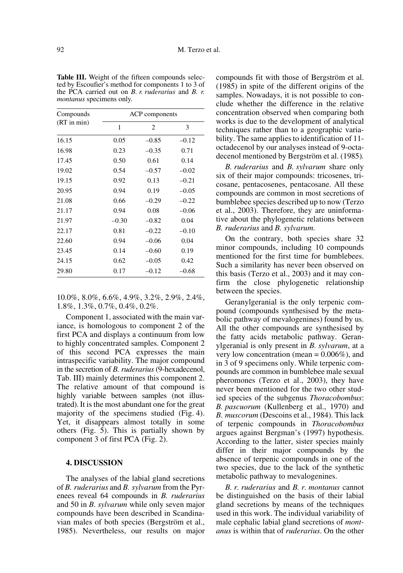| Compounds   | ACP components |                |         |  |  |  |  |  |  |
|-------------|----------------|----------------|---------|--|--|--|--|--|--|
| (RT in min) | 1              | $\overline{c}$ | 3       |  |  |  |  |  |  |
| 16.15       | 0.05           | $-0.85$        | $-0.12$ |  |  |  |  |  |  |
| 16.98       | 0.23           | $-0.35$        | 0.71    |  |  |  |  |  |  |
| 17.45       | 0.50           | 0.61           | 0.14    |  |  |  |  |  |  |
| 19.02       | 0.54           | $-0.57$        | $-0.02$ |  |  |  |  |  |  |
| 19.15       | 0.92           | 0.13           | $-0.21$ |  |  |  |  |  |  |
| 20.95       | 0.94           | 0.19           | $-0.05$ |  |  |  |  |  |  |
| 21.08       | 0.66           | $-0.29$        | $-0.22$ |  |  |  |  |  |  |
| 21.17       | 0.94           | 0.08           | $-0.06$ |  |  |  |  |  |  |
| 21.97       | $-0.30$        | $-0.82$        | 0.04    |  |  |  |  |  |  |
| 22.17       | 0.81           | $-0.22$        | $-0.10$ |  |  |  |  |  |  |
| 22.60       | 0.94           | $-0.06$        | 0.04    |  |  |  |  |  |  |
| 23.45       | 0.14           | $-0.60$        | 0.19    |  |  |  |  |  |  |
| 24.15       | 0.62           | $-0.05$        | 0.42    |  |  |  |  |  |  |
| 29.80       | 0.17           | $-0.12$        | $-0.68$ |  |  |  |  |  |  |

**Table III.** Weight of the fifteen compounds selected by Escoufier's method for components 1 to 3 of the PCA carried out on *B. r. ruderarius* and *B. r. montanus* specimens only.

10.0%, 8.0%, 6.6%, 4.9%, 3.2%, 2.9%, 2.4%, 1.8%, 1.3%, 0.7%, 0.4%, 0.2%.

Component 1, associated with the main variance, is homologous to component 2 of the first PCA and displays a continuum from low to highly concentrated samples. Component 2 of this second PCA expresses the main intraspecific variability. The major compound in the secretion of *B. ruderarius* (9-hexadecenol, Tab. III) mainly determines this component 2. The relative amount of that compound is highly variable between samples (not illustrated). It is the most abundant one for the great majority of the specimens studied (Fig. 4). Yet, it disappears almost totally in some others (Fig. 5). This is partially shown by component 3 of first PCA (Fig. 2).

## **4. DISCUSSION**

The analyses of the labial gland secretions of *B. ruderarius* and *B. sylvarum* from the Pyrenees reveal 64 compounds in *B. ruderarius* and 50 in *B. sylvarum* while only seven major compounds have been described in Scandinavian males of both species (Bergström et al., 1985). Nevertheless, our results on major compounds fit with those of Bergström et al. (1985) in spite of the different origins of the samples. Nowadays, it is not possible to conclude whether the difference in the relative concentration observed when comparing both works is due to the development of analytical techniques rather than to a geographic variability. The same applies to identification of 11 octadecenol by our analyses instead of 9-octadecenol mentioned by Bergström et al. (1985)*.*

*B. ruderarius* and *B. sylvarum* share only six of their major compounds: tricosenes, tricosane, pentacosenes, pentacosane. All these compounds are common in most secretions of bumblebee species described up to now (Terzo et al., 2003). Therefore, they are uninformative about the phylogenetic relations between *B. ruderarius* and *B. sylvarum*.

On the contrary, both species share 32 minor compounds, including 10 compounds mentioned for the first time for bumblebees. Such a similarity has never been observed on this basis (Terzo et al., 2003) and it may confirm the close phylogenetic relationship between the species.

Geranylgeranial is the only terpenic compound (compounds synthesised by the metabolic pathway of mevalogenines) found by us. All the other compounds are synthesised by the fatty acids metabolic pathway. Geranylgeranial is only present in *B. sylvarum*, at a very low concentration (mean =  $0.006\%$ ), and in 3 of 9 specimens only. While terpenic compounds are common in bumblebee male sexual pheromones (Terzo et al., 2003), they have never been mentioned for the two other studied species of the subgenus *Thoracobombus*: *B. pascuorum* (Kullenberg et al., 1970) and *B. muscorum* (Descoins et al., 1984). This lack of terpenic compounds in *Thoracobombus* argues against Bergman's (1997) hypothesis. According to the latter, sister species mainly differ in their major compounds by the absence of terpenic compounds in one of the two species, due to the lack of the synthetic metabolic pathway to mevalogenines.

*B. r. ruderarius* and *B. r. montanus* cannot be distinguished on the basis of their labial gland secretions by means of the techniques used in this work. The individual variability of male cephalic labial gland secretions of *montanus* is within that of *ruderarius*. On the other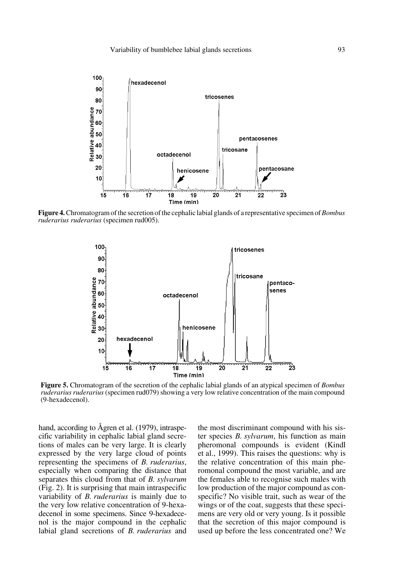

**Figure 4.** Chromatogram of the secretion of the cephalic labial glands of a representative specimen of *Bombus ruderarius ruderarius* (specimen rud005).



**Figure 5.** Chromatogram of the secretion of the cephalic labial glands of an atypical specimen of *Bombus ruderarius ruderarius* (specimen rud079) showing a very low relative concentration of the main compound (9-hexadecenol).

hand, according to Ågren et al. (1979), intraspecific variability in cephalic labial gland secretions of males can be very large. It is clearly expressed by the very large cloud of points representing the specimens of *B. ruderarius*, especially when comparing the distance that separates this cloud from that of *B. sylvarum* (Fig. 2). It is surprising that main intraspecific variability of *B. ruderarius* is mainly due to the very low relative concentration of 9-hexadecenol in some specimens. Since 9-hexadecenol is the major compound in the cephalic labial gland secretions of *B. ruderarius* and the most discriminant compound with his sister species *B. sylvarum*, his function as main pheromonal compounds is evident (Kindl et al., 1999). This raises the questions: why is the relative concentration of this main pheromonal compound the most variable, and are the females able to recognise such males with low production of the major compound as conspecific? No visible trait, such as wear of the wings or of the coat, suggests that these specimens are very old or very young. Is it possible that the secretion of this major compound is used up before the less concentrated one? We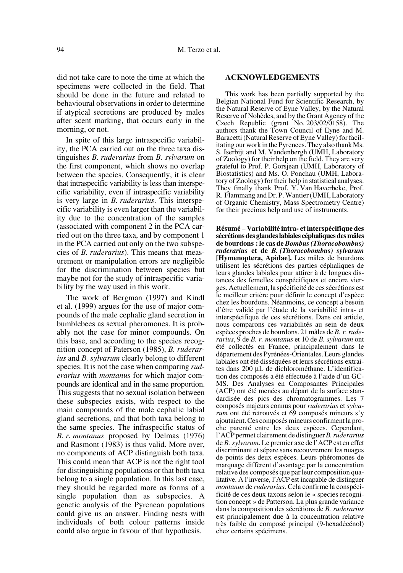did not take care to note the time at which the specimens were collected in the field. That should be done in the future and related to behavioural observations in order to determine if atypical secretions are produced by males after scent marking, that occurs early in the morning, or not.

In spite of this large intraspecific variability, the PCA carried out on the three taxa distinguishes *B. ruderarius* from *B. sylvarum* on the first component, which shows no overlap between the species. Consequently, it is clear that intraspecific variability is less than interspecific variability, even if intraspecific variability is very large in *B. ruderarius*. This interspecific variability is even larger than the variability due to the concentration of the samples (associated with component 2 in the PCA carried out on the three taxa, and by component 1 in the PCA carried out only on the two subspecies of *B. ruderarius*). This means that measurement or manipulation errors are negligible for the discrimination between species but maybe not for the study of intraspecific variability by the way used in this work.

The work of Bergman (1997) and Kindl et al. (1999) argues for the use of major compounds of the male cephalic gland secretion in bumblebees as sexual pheromones. It is probably not the case for minor compounds. On this base, and according to the species recognition concept of Paterson (1985), *B. ruderarius* and *B. sylvarum* clearly belong to different species. It is not the case when comparing *ruderarius* with *montanus* for which major compounds are identical and in the same proportion. This suggests that no sexual isolation between these subspecies exists, with respect to the main compounds of the male cephalic labial gland secretions, and that both taxa belong to the same species. The infraspecific status of *B. r. montanus* proposed by Delmas (1976) and Rasmont (1983) is thus valid. More over, no components of ACP distinguish both taxa. This could mean that ACP is not the right tool for distinguishing populations or that both taxa belong to a single population. In this last case, they should be regarded more as forms of a single population than as subspecies. A genetic analysis of the Pyrenean populations could give us an answer. Finding nests with individuals of both colour patterns inside could also argue in favour of that hypothesis.

#### **ACKNOWLEDGEMENTS**

This work has been partially supported by the Belgian National Fund for Scientific Research, by the Natural Reserve of Eyne Valley, by the Natural Reserve of Nohèdes, and by the Grant Agency of the Czech Republic (grant No.  $203/02/\overline{0}158$ ). The authors thank the Town Council of Eyne and M. Baracetti (Natural Reserve of Eyne Valley) for facilitating our work in the Pyrenees. They also thank Ms. S. Iserbijt and M. Vandenbergh (UMH, Laboratory of Zoology) for their help on the field. They are very grateful to Prof. P. Gorsjean (UMH, Laboratory of Biostatistics) and Ms. O. Ponchau (UMH, Laboratory of Zoology) for their help in statistical analyses. They finally thank Prof. Y. Van Haverbeke, Prof. R. Flammang and Dr. P. Wantier (UMH, Laboratory of Organic Chemistry, Mass Spectrometry Centre) for their precious help and use of instruments.

**Résumé** – **Variabilité intra- et interspécifique des sécrétions des glandes labiales céphaliques des mâles de bourdons : le cas de** *Bombus (Thoracobombus) ruderarius* **et de** *B. (Thoracobombus) sylvarum* **[Hymenoptera, Apidae].** Les mâles de bourdons utilisent les sécrétions des parties céphaliques de leurs glandes labiales pour attirer à de longues distances des femelles conspécifiques et encore vierges. Actuellement, la spécificité de ces sécrétions est le meilleur critère pour définir le concept d'espèce chez les bourdons. Néanmoins, ce concept a besoin d'être validé par l'étude de la variabilité intra- et interspécifique de ces sécrétions. Dans cet article, nous comparons ces variabilités au sein de deux espèces proches de bourdons. 21 mâles de *B. r. ruderarius*, 9 de *B. r. montanus* et 10 de *B. sylvarum* ont été collectés en France, principalement dans le département des Pyrénées-Orientales. Leurs glandes labiales ont été disséquées et leurs sécrétions extraites dans 200 µL de dichlorométhane. L'identification des composés a été effectuée à l'aide d'un GC-MS. Des Analyses en Composantes Principales (ACP) ont été menées au départ de la surface standardisée des pics des chromatogrammes. Les 7 composés majeurs connus pour *ruderarius* et *sylvarum* ont été retrouvés et 69 composés mineurs s'y ajoutaient. Ces composés mineurs confirment la proche parenté entre les deux espèces. Cependant, l'ACP permet clairement de distinguer *B. ruderarius* de *B. sylvarum*. Le premier axe de l'ACP est en effet discriminant et sépare sans recouvrement les nuages de points des deux espèces. Leurs phéromones de marquage diffèrent d'avantage par la concentration relative des composés que par leur composition qualitative. A l'inverse, l'ACP est incapable de distinguer *montanus* de *ruderarius*. Cela confirme la conspécificité de ces deux taxons selon le « species recognition concept » de Patterson. La plus grande variance dans la composition des sécrétions de *B. ruderarius* est principalement due à la concentration relative très faible du composé principal (9-hexadécénol) chez certains spécimens.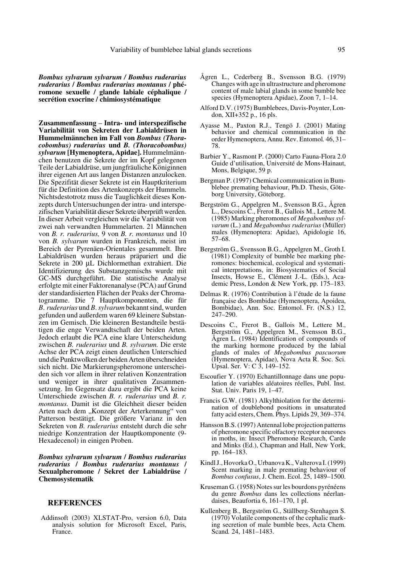*Bombus sylvarum sylvarum / Bombus ruderarius ruderarius* **/** *Bombus ruderarius montanus* **/ phéromone sexuelle / glande labiale céphalique / secrétion exocrine / chimiosystématique**

**Zusammenfassung** – **Intra- und interspezifische Variabilität von Sekreten der Labialdrüsen in Hummelmännchen im Fall von** *Bombus (Thoracobombus) ruderarius* **und** *B. (Thoracobombus) sylvarum* **[Hymenoptera, Apidae].** Hummelmännchen benutzen die Sekrete der im Kopf gelegenen Teile der Labialdrüse, um jungfräuliche Königinnen ihrer eigenen Art aus langen Distanzen anzulocken. Die Spezifität dieser Sekrete ist ein Hauptkriterium für die Definition des Artenkonzepts der Hummeln. Nichtsdestotrotz muss die Tauglichkeit dieses Konzepts durch Untersuchungen der intra- und interspezifischen Variabilität dieser Sekrete überprüft werden. In dieser Arbeit vergleichen wir die Variabilität von zwei nah verwandten Hummelarten. 21 Männchen von *B. r. ruderarius,* 9 von *B. r. montanus* und 10 von *B. sylvarum* wurden in Frankreich, meist im Bereich der Pyrenäen-Orientales gesammelt. Ihre Labialdrüsen wurden heraus präpariert und die Sekrete in 200 µL Dichlormethan extrahiert. Die Identifizierung des Substanzgemischs wurde mit GC-MS durchgeführt. Die statistische Analyse erfolgte mit einer Faktorenanalyse (PCA) auf Grund der standardisierten Flächen der Peaks der Chromatogramme. Die 7 Hauptkomponenten, die für *B*. *ruderarius* und *B*. *sylvarum* bekannt sind, wurden gefunden und außerdem waren 69 kleinere Substanzen im Gemisch. Die kleineren Bestandteile bestätigen die enge Verwandtschaft der beiden Arten. Jedoch erlaubt die PCA eine klare Unterscheidung zwischen *B. ruderarius* und *B. sylvarum.* Die erste Achse der PCA zeigt einen deutlichen Unterschied und die Punktwolken der beiden Arten überschneiden sich nicht. Die Markierungspheromone unterscheiden sich vor allem in ihrer relativen Konzentration und weniger in ihrer qualitativen Zusammensetzung. Im Gegensatz dazu ergibt die PCA keine Unterschiede zwischen *B. r. ruderarius* und *B. r. montanus.* Damit ist die Gleichheit dieser beiden Arten nach dem "Konzept der Arterkennung" von Patterson bestätigt. Die größere Varianz in den Sekreten von *B. ruderarius* entsteht durch die sehr niedrige Konzentration der Hauptkomponente (9- Hexadecenol) in einigen Proben.

#### *Bombus sylvarum sylvarum* **/** *Bombus ruderarius ruderarius* **/** *Bombus ruderarius montanus* **/ Sexualpheromone / Sekret der Labialdrüse / Chemosystematik**

## **REFERENCES**

Addinsoft (2003) XLSTAT-Pro, version 6.0, Data analysis solution for Microsoft Excel, Paris, France.

- Ågren L., Cederberg B., Svensson B.G. (1979) Changes with age in ultrastructure and pheromone content of male labial glands in some bumble bee species (Hymenoptera Apidae), Zoon 7, 1–14.
- Alford D.V. (1975) Bumblebees, Davis-Poynter, London, XII+352 p., 16 pls.
- Ayasse M., Paxton R.J., Tengö J. (2001) Mating behavior and chemical communication in the order Hymenoptera, Annu. Rev. Entomol*.* 46, 31– 78.
- Barbier Y., Rasmont P. (2000) Carto Fauna-Flora 2.0 Guide d'utilisation, Université de Mons-Hainaut, Mons, Belgique, 59 p.
- Bergman P. (1997) Chemical communication in Bumblebee premating behaviour, Ph.D. Thesis, Göteborg University, Göteborg.
- Bergström G., Appelgren M., Svensson B.G., Ågren L., Descoins C., Frerot B., Gallois M., Lettere M. (1985) Marking pheromones of *Megabombus sylvarum* (L.) and *Megabombus ruderarius* (Müller) males (Hymenoptera: Apidae), Apidologie 16, 57–68.
- Bergström G., Svensson B.G., Appelgren M., Groth I. (1981) Complexity of bumble bee marking pheromones: biochemical, ecological and systematical interpretations, in: Biosystematics of Social Insects, Howse E., Clément J.-L. (Eds.), Academic Press, London & New York, pp. 175–183.
- Delmas R. (1976) Contribution à l'étude de la faune française des Bombidae (Hymenoptera, Apoidea, Bombidae), Ann. Soc. Entomol. Fr. (N.S.) 12, 247–290.
- Descoins C., Frerot B., Gallois M., Lettere M., Bergström G., Appelgren M., Svensson B.G., Ågren L. (1984) Identification of compounds of the marking hormone produced by the labial glands of males of *Megabombus pascuorum* (Hymenoptera, Apidae), Nova Acta R. Soc. Sci. Upsal. Ser. V: C 3, 149–152.
- Escoufier Y. (1970) Echantillonnage dans une population de variables aléatoires réelles, Publ. Inst. Stat. Univ. Paris 19, 1–47.
- Francis G.W. (1981) Alkylthiolation for the determination of doublebond positions in unsaturated fatty acid esters, Chem. Phys. Lipids 29, 369–374.
- Hansson B.S. (1997) Antennal lobe projection patterns of pheromone specific olfactory receptor neurones in moths, in: Insect Pheromone Research, Carde and Minks (Ed.), Chapman and Hall, New York, pp. 164–183.
- Kindl J., Hovorka O., Urbanova K., Valterova I. (1999) Scent marking in male premating behaviour of *Bombus confusus*, J. Chem. Ecol. 25, 1489–1500.
- Kruseman G. (1958) Notes sur les bourdons pyrénéens du genre *Bombus* dans les collections néerlandaises, Beaufortia 6, 161–170, 1 pl.
- Kullenberg B., Bergström G., Ställberg-Stenhagen S. (1970) Volatile components of the cephalic marking secretion of male bumble bees, Acta Chem. Scand*.* 24, 1481–1483.